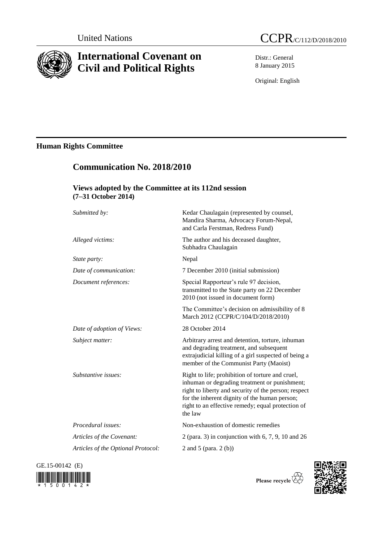

# **International Covenant on Civil and Political Rights**

**Communication No. 2018/2010**

Distr.: General 8 January 2015

Original: English

## **Human Rights Committee**

| Views adopted by the Committee at its 112nd session<br>(7-31 October 2014) |                                                                                                                                                                                                                                                                            |
|----------------------------------------------------------------------------|----------------------------------------------------------------------------------------------------------------------------------------------------------------------------------------------------------------------------------------------------------------------------|
| Submitted by:                                                              | Kedar Chaulagain (represented by counsel,<br>Mandira Sharma, Advocacy Forum-Nepal,<br>and Carla Ferstman, Redress Fund)                                                                                                                                                    |
| Alleged victims:                                                           | The author and his deceased daughter,<br>Subhadra Chaulagain                                                                                                                                                                                                               |
| State party:                                                               | Nepal                                                                                                                                                                                                                                                                      |
| Date of communication:                                                     | 7 December 2010 (initial submission)                                                                                                                                                                                                                                       |
| Document references:                                                       | Special Rapporteur's rule 97 decision,<br>transmitted to the State party on 22 December<br>2010 (not issued in document form)                                                                                                                                              |
|                                                                            | The Committee's decision on admissibility of 8<br>March 2012 (CCPR/C/104/D/2018/2010)                                                                                                                                                                                      |
| Date of adoption of Views:                                                 | 28 October 2014                                                                                                                                                                                                                                                            |
| Subject matter:                                                            | Arbitrary arrest and detention, torture, inhuman<br>and degrading treatment, and subsequent<br>extrajudicial killing of a girl suspected of being a<br>member of the Communist Party (Maoist)                                                                              |
| Substantive issues:                                                        | Right to life; prohibition of torture and cruel,<br>inhuman or degrading treatment or punishment;<br>right to liberty and security of the person; respect<br>for the inherent dignity of the human person;<br>right to an effective remedy; equal protection of<br>the law |
| Procedural issues:                                                         | Non-exhaustion of domestic remedies                                                                                                                                                                                                                                        |
| Articles of the Covenant:                                                  | 2 (para. 3) in conjunction with $6, 7, 9, 10$ and $26$                                                                                                                                                                                                                     |
| Articles of the Optional Protocol:                                         | 2 and 5 (para. 2 (b))                                                                                                                                                                                                                                                      |

GE.15-00142 (E)





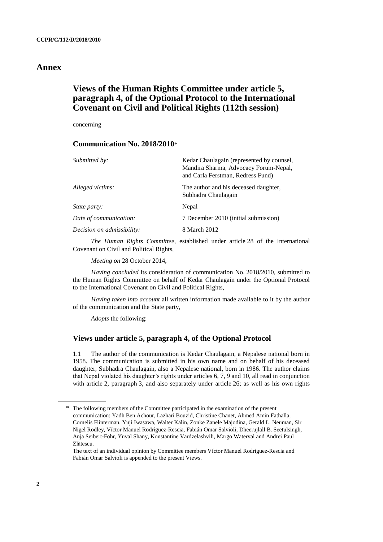## **Annex**

## **Views of the Human Rights Committee under article 5, paragraph 4, of the Optional Protocol to the International Covenant on Civil and Political Rights (112th session)**

concerning

### **Communication No. 2018/2010**\*

| Submitted by:              | Kedar Chaulagain (represented by counsel,<br>Mandira Sharma, Advocacy Forum-Nepal,<br>and Carla Ferstman, Redress Fund) |
|----------------------------|-------------------------------------------------------------------------------------------------------------------------|
| Alleged victims:           | The author and his deceased daughter,<br>Subhadra Chaulagain                                                            |
| <i>State party:</i>        | Nepal                                                                                                                   |
| Date of communication:     | 7 December 2010 (initial submission)                                                                                    |
| Decision on admissibility: | 8 March 2012                                                                                                            |
|                            |                                                                                                                         |

*The Human Rights Committee*, established under article 28 of the International Covenant on Civil and Political Rights,

*Meeting on* 28 October 2014,

*Having concluded* its consideration of communication No. 2018/2010, submitted to the Human Rights Committee on behalf of Kedar Chaulagain under the Optional Protocol to the International Covenant on Civil and Political Rights,

*Having taken into account* all written information made available to it by the author of the communication and the State party,

*Adopts* the following:

#### **Views under article 5, paragraph 4, of the Optional Protocol**

1.1 The author of the communication is Kedar Chaulagain, a Nepalese national born in 1958. The communication is submitted in his own name and on behalf of his deceased daughter, Subhadra Chaulagain, also a Nepalese national, born in 1986. The author claims that Nepal violated his daughter's rights under articles 6, 7, 9 and 10, all read in conjunction with article 2, paragraph 3, and also separately under article 26; as well as his own rights

<sup>\*</sup> The following members of the Committee participated in the examination of the present communication: Yadh Ben Achour, Lazhari Bouzid, Christine Chanet, Ahmed Amin Fathalla, Cornelis Flinterman, Yuji Iwasawa, Walter Kälin, Zonke Zanele Majodina, Gerald L. Neuman, Sir Nigel Rodley, Víctor Manuel Rodríguez-Rescia, Fabián Omar Salvioli, Dheerujlall B. Seetulsingh, Anja Seibert-Fohr, Yuval Shany, Konstantine Vardzelashvili, Margo Waterval and Andrei Paul Zlătescu.

The text of an individual opinion by Committee members Víctor Manuel Rodríguez-Rescia and Fabián Omar Salvioli is appended to the present Views.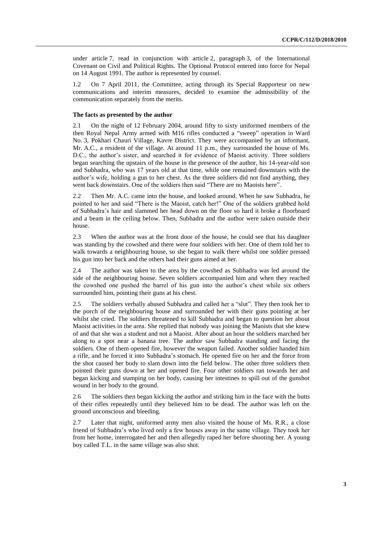under article 7, read in conjunction with article 2, paragraph 3, of the International Covenant on Civil and Political Rights. The Optional Protocol entered into force for Nepal on 14 August 1991. The author is represented by counsel.

1.2 On 7 April 2011, the Committee, acting through its Special Rapporteur on new communications and interim measures, decided to examine the admissibility of the communication separately from the merits.

#### **The facts as presented by the author**

2.1 On the night of 12 February 2004, around fifty to sixty uniformed members of the then Royal Nepal Army armed with M16 rifles conducted a "sweep" operation in Ward No. 3, Pokhari Chauri Village, Kavre District. They were accompanied by an informant, Mr. A.C., a resident of the village. At around 11 p.m., they surrounded the house of Ms. D.C., the author's sister, and searched it for evidence of Maoist activity. Three soldiers began searching the upstairs of the house in the presence of the author, his 14-year-old son and Subhadra, who was 17 years old at that time, while one remained downstairs with the author's wife, holding a gun to her chest. As the three soldiers did not find anything, they went back downstairs. One of the soldiers then said "There are no Maoists here".

2.2 Then Mr. A.C. came into the house, and looked around. When he saw Subhadra, he pointed to her and said "There is the Maoist, catch her!" One of the soldiers grabbed hold of Subhadra's hair and slammed her head down on the floor so hard it broke a floorboard and a beam in the ceiling below. Then, Subhadra and the author were taken outside their house.

2.3 When the author was at the front door of the house, he could see that his daughter was standing by the cowshed and there were four soldiers with her. One of them told her to walk towards a neighbouring house, so she began to walk there whilst one soldier pressed his gun into her back and the others had their guns aimed at her.

2.4 The author was taken to the area by the cowshed as Subhadra was led around the side of the neighbouring house. Seven soldiers accompanied him and when they reached the cowshed one pushed the barrel of his gun into the author's chest while six others surrounded him, pointing their guns at his chest.

2.5 The soldiers verbally abused Subhadra and called her a "slut". They then took her to the porch of the neighbouring house and surrounded her with their guns pointing at her whilst she cried. The soldiers threatened to kill Subhadra and began to question her about Maoist activities in the area. She replied that nobody was joining the Maoists that she knew of and that she was a student and not a Maoist. After about an hour the soldiers marched her along to a spot near a banana tree. The author saw Subhadra standing and facing the soldiers. One of them opened fire, however the weapon failed. Another soldier handed him a rifle, and he forced it into Subhadra's stomach. He opened fire on her and the force from the shot caused her body to slam down into the field below. The other three soldiers then pointed their guns down at her and opened fire. Four other soldiers ran towards her and began kicking and stamping on her body, causing her intestines to spill out of the gunshot wound in her body to the ground.

2.6 The soldiers then began kicking the author and striking him in the face with the butts of their rifles repeatedly until they believed him to be dead. The author was left on the ground unconscious and bleeding.

2.7 Later that night, uniformed army men also visited the house of Ms. R.R., a close friend of Subhadra's who lived only a few houses away in the same village. They took her from her home, interrogated her and then allegedly raped her before shooting her. A young boy called T.L. in the same village was also shot.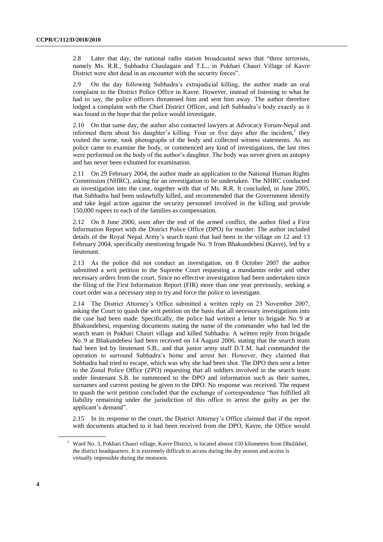2.8 Later that day, the national radio station broadcasted news that "three terrorists, namely Ms. R.R., Subhadra Chaulagain and T.L., in Pokhari Chauri Village of Kavre District were shot dead in an encounter with the security forces".

2.9 On the day following Subhadra's extrajudicial killing, the author made an oral complaint to the District Police Office in Kavre. However, instead of listening to what he had to say, the police officers threatened him and sent him away. The author therefore lodged a complaint with the Chief District Officer, and left Subhadra's body exactly as it was found in the hope that the police would investigate.

2.10 On that same day, the author also contacted lawyers at Advocacy Forum-Nepal and informed them about his daughter's killing. Four or five days after the incident,<sup>1</sup> they visited the scene, took photographs of the body and collected witness statements. As no police came to examine the body, or commenced any kind of investigations, the last rites were performed on the body of the author's daughter. The body was never given an autopsy and has never been exhumed for examination.

2.11 On 29 February 2004, the author made an application to the National Human Rights Commission (NHRC), asking for an investigation to be undertaken. The NHRC conducted an investigation into the case, together with that of Ms. R.R. It concluded, in June 2005, that Subhadra had been unlawfully killed, and recommended that the Government identify and take legal action against the security personnel involved in the killing and provide 150,000 rupees to each of the families as compensation.

2.12 On 8 June 2006, soon after the end of the armed conflict, the author filed a First Information Report with the District Police Office (DPO) for murder. The author included details of the Royal Nepal Army's search team that had been in the village on 12 and 13 February 2004, specifically mentioning brigade No. 9 from Bhakundebesi (Kavre), led by a lieutenant.

2.13 As the police did not conduct an investigation, on 8 October 2007 the author submitted a writ petition to the Supreme Court requesting a mandamus order and other necessary orders from the court. Since no effective investigation had been undertaken since the filing of the First Information Report (FIR) more than one year previously, seeking a court order was a necessary step to try and force the police to investigate.

2.14 The District Attorney's Office submitted a written reply on 23 November 2007, asking the Court to quash the writ petition on the basis that all necessary investigations into the case had been made. Specifically, the police had written a letter to brigade No. 9 at Bhakundebesi, requesting documents stating the name of the commander who had led the search team in Pokhari Chauri village and killed Subhadra. A written reply from brigade No. 9 at Bhakundebesi had been received on 14 August 2006, stating that the search team had been led by lieutenant S.B., and that junior army staff D.T.M. had commanded the operation to surround Subhadra's home and arrest her. However, they claimed that Subhadra had tried to escape, which was why she had been shot. The DPO then sent a letter to the Zonal Police Office (ZPO) requesting that all soldiers involved in the search team under lieutenant S.B. be summoned to the DPO and information such as their names, surnames and current posting be given to the DPO. No response was received. The request to quash the writ petition concluded that the exchange of correspondence "has fulfilled all liability remaining under the jurisdiction of this office to arrest the guilty as per the applicant's demand".

2.15 In its response to the court, the District Attorney's Office claimed that if the report with documents attached to it had been received from the DPO, Kavre, the Office would

<sup>&</sup>lt;sup>1</sup> Ward No. 3, Pokhari Chauri village, Kavre District, is located almost 150 kilometres from Dhulikhel, the district headquarters. It is extremely difficult to access during the dry season and access is virtually impossible during the monsoon.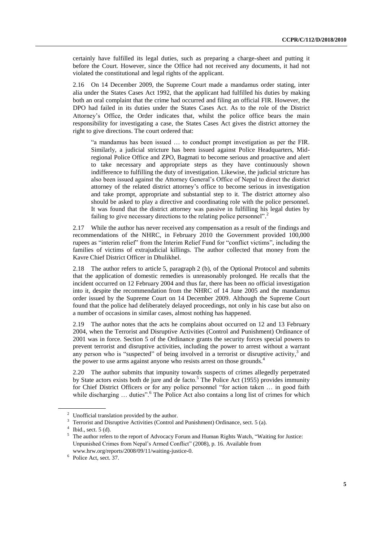certainly have fulfilled its legal duties, such as preparing a charge-sheet and putting it before the Court. However, since the Office had not received any documents, it had not violated the constitutional and legal rights of the applicant.

2.16 On 14 December 2009, the Supreme Court made a mandamus order stating, inter alia under the States Cases Act 1992, that the applicant had fulfilled his duties by making both an oral complaint that the crime had occurred and filing an official FIR. However, the DPO had failed in its duties under the States Cases Act. As to the role of the District Attorney's Office, the Order indicates that, whilst the police office bears the main responsibility for investigating a case, the States Cases Act gives the district attorney the right to give directions. The court ordered that:

"a mandamus has been issued … to conduct prompt investigation as per the FIR. Similarly, a judicial stricture has been issued against Police Headquarters, Midregional Police Office and ZPO, Bagmati to become serious and proactive and alert to take necessary and appropriate steps as they have continuously shown indifference to fulfilling the duty of investigation. Likewise, the judicial stricture has also been issued against the Attorney General's Office of Nepal to direct the district attorney of the related district attorney's office to become serious in investigation and take prompt, appropriate and substantial step to it. The district attorney also should be asked to play a directive and coordinating role with the police personnel. It was found that the district attorney was passive in fulfilling his legal duties by failing to give necessary directions to the relating police personnel".<sup>2</sup>

2.17 While the author has never received any compensation as a result of the findings and recommendations of the NHRC, in February 2010 the Government provided 100,000 rupees as "interim relief" from the Interim Relief Fund for "conflict victims", including the families of victims of extrajudicial killings. The author collected that money from the Kavre Chief District Officer in Dhulikhel.

2.18 The author refers to article 5, paragraph 2 (b), of the Optional Protocol and submits that the application of domestic remedies is unreasonably prolonged. He recalls that the incident occurred on 12 February 2004 and thus far, there has been no official investigation into it, despite the recommendation from the NHRC of 14 June 2005 and the mandamus order issued by the Supreme Court on 14 December 2009. Although the Supreme Court found that the police had deliberately delayed proceedings, not only in his case but also on a number of occasions in similar cases, almost nothing has happened.

2.19 The author notes that the acts he complains about occurred on 12 and 13 February 2004, when the Terrorist and Disruptive Activities (Control and Punishment) Ordinance of 2001 was in force. Section 5 of the Ordinance grants the security forces special powers to prevent terrorist and disruptive activities, including the power to arrest without a warrant any person who is "suspected" of being involved in a terrorist or disruptive activity, $3$  and the power to use arms against anyone who resists arrest on those grounds.<sup>4</sup>

2.20 The author submits that impunity towards suspects of crimes allegedly perpetrated by State actors exists both de jure and de facto. <sup>5</sup> The Police Act (1955) provides immunity for Chief District Officers or for any police personnel "for action taken … in good faith while discharging ... duties".<sup>6</sup> The Police Act also contains a long list of crimes for which

<sup>&</sup>lt;sup>2</sup> Unofficial translation provided by the author.

<sup>3</sup> Terrorist and Disruptive Activities (Control and Punishment) Ordinance, sect. 5 (a).

 $4$  Ibid., sect. 5 (d).

<sup>5</sup> The author refers to the report of Advocacy Forum and Human Rights Watch, "Waiting for Justice: Unpunished Crimes from Nepal's Armed Conflict" (2008), p. 16. Available from www.hrw.org/reports/2008/09/11/waiting-justice-0.

<sup>&</sup>lt;sup>6</sup> Police Act, sect. 37.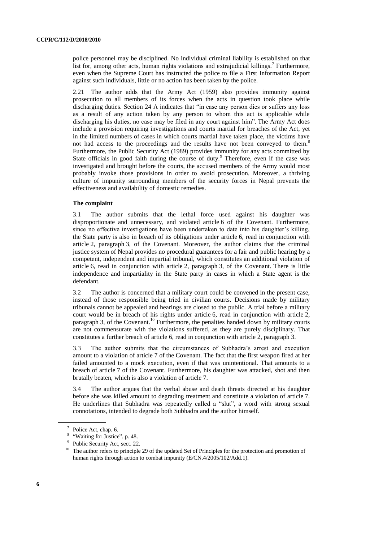police personnel may be disciplined. No individual criminal liability is established on that list for, among other acts, human rights violations and extrajudicial killings.<sup>7</sup> Furthermore, even when the Supreme Court has instructed the police to file a First Information Report against such individuals, little or no action has been taken by the police.

2.21 The author adds that the Army Act (1959) also provides immunity against prosecution to all members of its forces when the acts in question took place while discharging duties. Section 24 A indicates that "in case any person dies or suffers any loss as a result of any action taken by any person to whom this act is applicable while discharging his duties, no case may be filed in any court against him". The Army Act does include a provision requiring investigations and courts martial for breaches of the Act, yet in the limited numbers of cases in which courts martial have taken place, the victims have not had access to the proceedings and the results have not been conveyed to them.<sup>8</sup> Furthermore, the Public Security Act (1989) provides immunity for any acts committed by State officials in good faith during the course of duty.<sup>9</sup> Therefore, even if the case was investigated and brought before the courts, the accused members of the Army would most probably invoke those provisions in order to avoid prosecution. Moreover, a thriving culture of impunity surrounding members of the security forces in Nepal prevents the effectiveness and availability of domestic remedies.

#### **The complaint**

3.1 The author submits that the lethal force used against his daughter was disproportionate and unnecessary, and violated article 6 of the Covenant. Furthermore, since no effective investigations have been undertaken to date into his daughter's killing, the State party is also in breach of its obligations under article 6, read in conjunction with article 2, paragraph 3, of the Covenant. Moreover, the author claims that the criminal justice system of Nepal provides no procedural guarantees for a fair and public hearing by a competent, independent and impartial tribunal, which constitutes an additional violation of article 6, read in conjunction with article 2, paragraph 3, of the Covenant. There is little independence and impartiality in the State party in cases in which a State agent is the defendant.

3.2 The author is concerned that a military court could be convened in the present case, instead of those responsible being tried in civilian courts. Decisions made by military tribunals cannot be appealed and hearings are closed to the public. A trial before a military court would be in breach of his rights under article 6, read in conjunction with article 2, paragraph 3, of the Covenant.<sup>10</sup> Furthermore, the penalties handed down by military courts are not commensurate with the violations suffered, as they are purely disciplinary. That constitutes a further breach of article 6, read in conjunction with article 2, paragraph 3.

3.3 The author submits that the circumstances of Subhadra's arrest and execution amount to a violation of article 7 of the Covenant. The fact that the first weapon fired at her failed amounted to a mock execution, even if that was unintentional. That amounts to a breach of article 7 of the Covenant. Furthermore, his daughter was attacked, shot and then brutally beaten, which is also a violation of article 7.

3.4 The author argues that the verbal abuse and death threats directed at his daughter before she was killed amount to degrading treatment and constitute a violation of article 7. He underlines that Subhadra was repeatedly called a "slut", a word with strong sexual connotations, intended to degrade both Subhadra and the author himself.

<sup>&</sup>lt;sup>7</sup> Police Act, chap. 6.

<sup>&</sup>lt;sup>8</sup> "Waiting for Justice", p. 48.

<sup>&</sup>lt;sup>9</sup> Public Security Act, sect. 22.

<sup>&</sup>lt;sup>10</sup> The author refers to principle 29 of the updated Set of Principles for the protection and promotion of human rights through action to combat impunity (E/CN.4/2005/102/Add.1).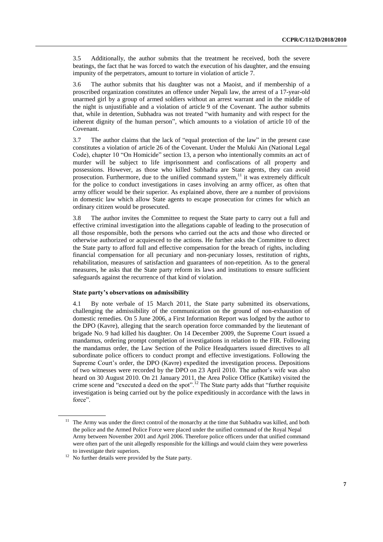3.5 Additionally, the author submits that the treatment he received, both the severe beatings, the fact that he was forced to watch the execution of his daughter, and the ensuing impunity of the perpetrators, amount to torture in violation of article 7.

3.6 The author submits that his daughter was not a Maoist, and if membership of a proscribed organization constitutes an offence under Nepali law, the arrest of a 17-year-old unarmed girl by a group of armed soldiers without an arrest warrant and in the middle of the night is unjustifiable and a violation of article 9 of the Covenant. The author submits that, while in detention, Subhadra was not treated "with humanity and with respect for the inherent dignity of the human person", which amounts to a violation of article 10 of the Covenant.

3.7 The author claims that the lack of "equal protection of the law" in the present case constitutes a violation of article 26 of the Covenant. Under the Muluki Ain (National Legal Code), chapter 10 "On Homicide" section 13, a person who intentionally commits an act of murder will be subject to life imprisonment and confiscations of all property and possessions. However, as those who killed Subhadra are State agents, they can avoid prosecution. Furthermore, due to the unified command system,<sup>11</sup> it was extremely difficult for the police to conduct investigations in cases involving an army officer, as often that army officer would be their superior. As explained above, there are a number of provisions in domestic law which allow State agents to escape prosecution for crimes for which an ordinary citizen would be prosecuted.

3.8 The author invites the Committee to request the State party to carry out a full and effective criminal investigation into the allegations capable of leading to the prosecution of all those responsible, both the persons who carried out the acts and those who directed or otherwise authorized or acquiesced to the actions. He further asks the Committee to direct the State party to afford full and effective compensation for the breach of rights, including financial compensation for all pecuniary and non-pecuniary losses, restitution of rights, rehabilitation, measures of satisfaction and guarantees of non-repetition. As to the general measures, he asks that the State party reform its laws and institutions to ensure sufficient safeguards against the recurrence of that kind of violation.

#### **State party's observations on admissibility**

4.1 By note verbale of 15 March 2011, the State party submitted its observations, challenging the admissibility of the communication on the ground of non-exhaustion of domestic remedies. On 5 June 2006, a First Information Report was lodged by the author to the DPO (Kavre), alleging that the search operation force commanded by the lieutenant of brigade No. 9 had killed his daughter. On 14 December 2009, the Supreme Court issued a mandamus, ordering prompt completion of investigations in relation to the FIR. Following the mandamus order, the Law Section of the Police Headquarters issued directives to all subordinate police officers to conduct prompt and effective investigations. Following the Supreme Court's order, the DPO (Kavre) expedited the investigation process. Depositions of two witnesses were recorded by the DPO on 23 April 2010. The author's wife was also heard on 30 August 2010. On 21 January 2011, the Area Police Office (Kattike) visited the crime scene and "executed a deed on the spot".<sup>12</sup> The State party adds that "further requisite" investigation is being carried out by the police expeditiously in accordance with the laws in force".

<sup>11</sup> The Army was under the direct control of the monarchy at the time that Subhadra was killed, and both the police and the Armed Police Force were placed under the unified command of the Royal Nepal Army between November 2001 and April 2006. Therefore police officers under that unified command were often part of the unit allegedly responsible for the killings and would claim they were powerless to investigate their superiors.

<sup>&</sup>lt;sup>12</sup> No further details were provided by the State party.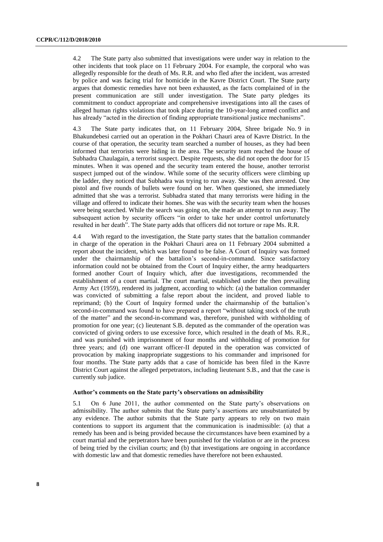4.2 The State party also submitted that investigations were under way in relation to the other incidents that took place on 11 February 2004. For example, the corporal who was allegedly responsible for the death of Ms. R.R. and who fled after the incident, was arrested by police and was facing trial for homicide in the Kavre District Court. The State party argues that domestic remedies have not been exhausted, as the facts complained of in the present communication are still under investigation. The State party pledges its commitment to conduct appropriate and comprehensive investigations into all the cases of alleged human rights violations that took place during the 10-year-long armed conflict and has already "acted in the direction of finding appropriate transitional justice mechanisms".

4.3 The State party indicates that, on 11 February 2004, Shree brigade No. 9 in Bhakundebesi carried out an operation in the Pokhari Chauri area of Kavre District. In the course of that operation, the security team searched a number of houses, as they had been informed that terrorists were hiding in the area. The security team reached the house of Subhadra Chaulagain, a terrorist suspect. Despite requests, she did not open the door for 15 minutes. When it was opened and the security team entered the house, another terrorist suspect jumped out of the window. While some of the security officers were climbing up the ladder, they noticed that Subhadra was trying to run away. She was then arrested. One pistol and five rounds of bullets were found on her. When questioned, she immediately admitted that she was a terrorist. Subhadra stated that many terrorists were hiding in the village and offered to indicate their homes. She was with the security team when the houses were being searched. While the search was going on, she made an attempt to run away. The subsequent action by security officers "in order to take her under control unfortunately resulted in her death". The State party adds that officers did not torture or rape Ms. R.R.

4.4 With regard to the investigation, the State party states that the battalion commander in charge of the operation in the Pokhari Chauri area on 11 February 2004 submitted a report about the incident, which was later found to be false. A Court of Inquiry was formed under the chairmanship of the battalion's second-in-command. Since satisfactory information could not be obtained from the Court of Inquiry either, the army headquarters formed another Court of Inquiry which, after due investigations, recommended the establishment of a court martial. The court martial, established under the then prevailing Army Act (1959), rendered its judgment, according to which: (a) the battalion commander was convicted of submitting a false report about the incident, and proved liable to reprimand; (b) the Court of Inquiry formed under the chairmanship of the battalion's second-in-command was found to have prepared a report "without taking stock of the truth of the matter" and the second-in-command was, therefore, punished with withholding of promotion for one year; (c) lieutenant S.B. deputed as the commander of the operation was convicted of giving orders to use excessive force, which resulted in the death of Ms. R.R., and was punished with imprisonment of four months and withholding of promotion for three years; and (d) one warrant officer-II deputed in the operation was convicted of provocation by making inappropriate suggestions to his commander and imprisoned for four months. The State party adds that a case of homicide has been filed in the Kavre District Court against the alleged perpetrators, including lieutenant S.B., and that the case is currently sub judice.

#### **Author's comments on the State party's observations on admissibility**

5.1 On 6 June 2011, the author commented on the State party's observations on admissibility. The author submits that the State party's assertions are unsubstantiated by any evidence. The author submits that the State party appears to rely on two main contentions to support its argument that the communication is inadmissible: (a) that a remedy has been and is being provided because the circumstances have been examined by a court martial and the perpetrators have been punished for the violation or are in the process of being tried by the civilian courts; and (b) that investigations are ongoing in accordance with domestic law and that domestic remedies have therefore not been exhausted.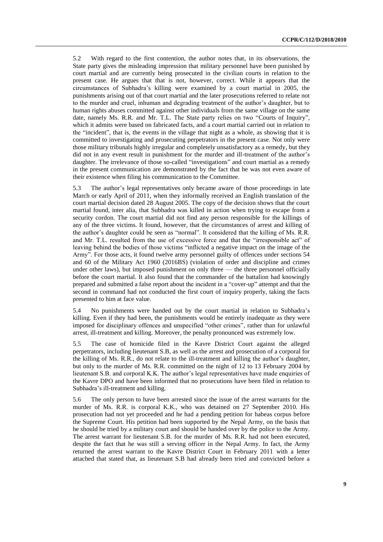5.2 With regard to the first contention, the author notes that, in its observations, the State party gives the misleading impression that military personnel have been punished by court martial and are currently being prosecuted in the civilian courts in relation to the present case. He argues that that is not, however, correct. While it appears that the circumstances of Subhadra's killing were examined by a court martial in 2005, the punishments arising out of that court martial and the later prosecutions referred to relate not to the murder and cruel, inhuman and degrading treatment of the author's daughter, but to human rights abuses committed against other individuals from the same village on the same date, namely Ms. R.R. and Mr. T.L. The State party relies on two "Courts of Inquiry", which it admits were based on fabricated facts, and a court martial carried out in relation to the "incident", that is, the events in the village that night as a whole, as showing that it is committed to investigating and prosecuting perpetrators in the present case. Not only were those military tribunals highly irregular and completely unsatisfactory as a remedy, but they did not in any event result in punishment for the murder and ill-treatment of the author's daughter. The irrelevance of those so-called "investigations" and court martial as a remedy in the present communication are demonstrated by the fact that he was not even aware of their existence when filing his communication to the Committee.

5.3 The author's legal representatives only became aware of those proceedings in late March or early April of 2011, when they informally received an English translation of the court martial decision dated 28 August 2005. The copy of the decision shows that the court martial found, inter alia, that Subhadra was killed in action when trying to escape from a security cordon. The court martial did not find any person responsible for the killings of any of the three victims. It found, however, that the circumstances of arrest and killing of the author's daughter could be seen as "normal". It considered that the killing of Ms. R.R. and Mr. T.L. resulted from the use of excessive force and that the "irresponsible act" of leaving behind the bodies of those victims "inflicted a negative impact on the image of the Army". For those acts, it found twelve army personnel guilty of offences under sections 54 and 60 of the Military Act 1960 (2016BS) (violation of order and discipline and crimes under other laws), but imposed punishment on only three — the three personnel officially before the court martial. It also found that the commander of the battalion had knowingly prepared and submitted a false report about the incident in a "cover-up" attempt and that the second in command had not conducted the first court of inquiry properly, taking the facts presented to him at face value.

5.4 No punishments were handed out by the court martial in relation to Subhadra's killing. Even if they had been, the punishments would be entirely inadequate as they were imposed for disciplinary offences and unspecified "other crimes", rather than for unlawful arrest, ill-treatment and killing. Moreover, the penalty pronounced was extremely low.

5.5 The case of homicide filed in the Kavre District Court against the alleged perpetrators, including lieutenant S.B, as well as the arrest and prosecution of a corporal for the killing of Ms. R.R., do not relate to the ill-treatment and killing the author's daughter, but only to the murder of Ms. R.R. committed on the night of 12 to 13 February 2004 by lieutenant S.B. and corporal K.K. The author's legal representatives have made enquiries of the Kavre DPO and have been informed that no prosecutions have been filed in relation to Subhadra's ill-treatment and killing.

5.6 The only person to have been arrested since the issue of the arrest warrants for the murder of Ms. R.R. is corporal K.K., who was detained on 27 September 2010. His prosecution had not yet proceeded and he had a pending petition for habeas corpus before the Supreme Court. His petition had been supported by the Nepal Army, on the basis that he should be tried by a military court and should be handed over by the police to the Army. The arrest warrant for lieutenant S.B. for the murder of Ms. R.R. had not been executed, despite the fact that he was still a serving officer in the Nepal Army. In fact, the Army returned the arrest warrant to the Kavre District Court in February 2011 with a letter attached that stated that, as lieutenant S.B had already been tried and convicted before a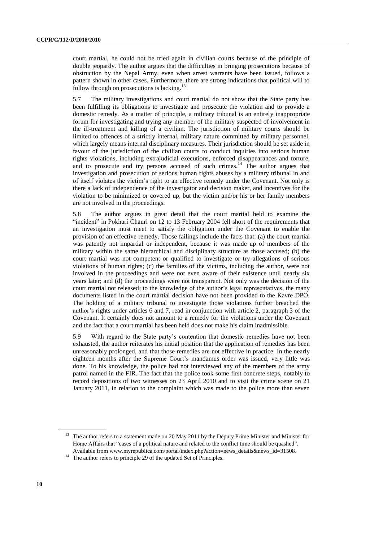court martial, he could not be tried again in civilian courts because of the principle of double jeopardy. The author argues that the difficulties in bringing prosecutions because of obstruction by the Nepal Army, even when arrest warrants have been issued, follows a pattern shown in other cases. Furthermore, there are strong indications that political will to follow through on prosecutions is lacking.<sup>13</sup>

5.7 The military investigations and court martial do not show that the State party has been fulfilling its obligations to investigate and prosecute the violation and to provide a domestic remedy. As a matter of principle, a military tribunal is an entirely inappropriate forum for investigating and trying any member of the military suspected of involvement in the ill-treatment and killing of a civilian. The jurisdiction of military courts should be limited to offences of a strictly internal, military nature committed by military personnel, which largely means internal disciplinary measures. Their jurisdiction should be set aside in favour of the jurisdiction of the civilian courts to conduct inquiries into serious human rights violations, including extrajudicial executions, enforced disappearances and torture, and to prosecute and try persons accused of such crimes.<sup>14</sup> The author argues that investigation and prosecution of serious human rights abuses by a military tribunal in and of itself violates the victim's right to an effective remedy under the Covenant. Not only is there a lack of independence of the investigator and decision maker, and incentives for the violation to be minimized or covered up, but the victim and/or his or her family members are not involved in the proceedings.

5.8 The author argues in great detail that the court martial held to examine the "incident" in Pokhari Chauri on 12 to 13 February 2004 fell short of the requirements that an investigation must meet to satisfy the obligation under the Covenant to enable the provision of an effective remedy. Those failings include the facts that: (a) the court martial was patently not impartial or independent, because it was made up of members of the military within the same hierarchical and disciplinary structure as those accused; (b) the court martial was not competent or qualified to investigate or try allegations of serious violations of human rights; (c) the families of the victims, including the author, were not involved in the proceedings and were not even aware of their existence until nearly six years later; and (d) the proceedings were not transparent. Not only was the decision of the court martial not released; to the knowledge of the author's legal representatives, the many documents listed in the court martial decision have not been provided to the Kavre DPO. The holding of a military tribunal to investigate those violations further breached the author's rights under articles 6 and 7, read in conjunction with article 2, paragraph 3 of the Covenant. It certainly does not amount to a remedy for the violations under the Covenant and the fact that a court martial has been held does not make his claim inadmissible.

5.9 With regard to the State party's contention that domestic remedies have not been exhausted, the author reiterates his initial position that the application of remedies has been unreasonably prolonged, and that those remedies are not effective in practice. In the nearly eighteen months after the Supreme Court's mandamus order was issued, very little was done. To his knowledge, the police had not interviewed any of the members of the army patrol named in the FIR. The fact that the police took some first concrete steps, notably to record depositions of two witnesses on 23 April 2010 and to visit the crime scene on 21 January 2011, in relation to the complaint which was made to the police more than seven

<sup>&</sup>lt;sup>13</sup> The author refers to a statement made on 20 May 2011 by the Deputy Prime Minister and Minister for Home Affairs that "cases of a political nature and related to the conflict time should be quashed". Available from [www.myrepublica.com/portal/index.php?action=news\\_details&news\\_id=31508.](file:///D:/downloads/www.myrepublica.com/portal/index.php%3faction=news_details&news_id=31508)

<sup>&</sup>lt;sup>14</sup> The author refers to principle 29 of the updated Set of Principles.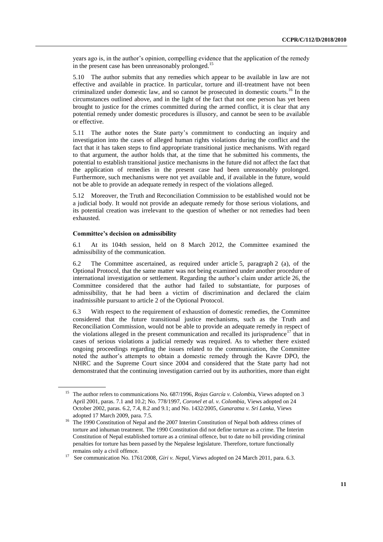years ago is, in the author's opinion, compelling evidence that the application of the remedy in the present case has been unreasonably prolonged.<sup>15</sup>

5.10 The author submits that any remedies which appear to be available in law are not effective and available in practice. In particular, torture and ill-treatment have not been criminalized under domestic law, and so cannot be prosecuted in domestic courts.<sup>16</sup> In the circumstances outlined above, and in the light of the fact that not one person has yet been brought to justice for the crimes committed during the armed conflict, it is clear that any potential remedy under domestic procedures is illusory, and cannot be seen to be available or effective.

5.11 The author notes the State party's commitment to conducting an inquiry and investigation into the cases of alleged human rights violations during the conflict and the fact that it has taken steps to find appropriate transitional justice mechanisms. With regard to that argument, the author holds that, at the time that he submitted his comments, the potential to establish transitional justice mechanisms in the future did not affect the fact that the application of remedies in the present case had been unreasonably prolonged. Furthermore, such mechanisms were not yet available and, if available in the future, would not be able to provide an adequate remedy in respect of the violations alleged.

5.12 Moreover, the Truth and Reconciliation Commission to be established would not be a judicial body. It would not provide an adequate remedy for those serious violations, and its potential creation was irrelevant to the question of whether or not remedies had been exhausted.

#### **Committee's decision on admissibility**

6.1 At its 104th session, held on 8 March 2012, the Committee examined the admissibility of the communication.

6.2 The Committee ascertained, as required under article 5, paragraph 2 (a), of the Optional Protocol, that the same matter was not being examined under another procedure of international investigation or settlement. Regarding the author's claim under article 26, the Committee considered that the author had failed to substantiate, for purposes of admissibility, that he had been a victim of discrimination and declared the claim inadmissible pursuant to article 2 of the Optional Protocol.

6.3 With respect to the requirement of exhaustion of domestic remedies, the Committee considered that the future transitional justice mechanisms, such as the Truth and Reconciliation Commission, would not be able to provide an adequate remedy in respect of the violations alleged in the present communication and recalled its jurisprudence<sup>17</sup> that in cases of serious violations a judicial remedy was required. As to whether there existed ongoing proceedings regarding the issues related to the communication, the Committee noted the author's attempts to obtain a domestic remedy through the Kavre DPO, the NHRC and the Supreme Court since 2004 and considered that the State party had not demonstrated that the continuing investigation carried out by its authorities, more than eight

<sup>15</sup> The author refers to communications No. 687/1996, *Rojas García v. Colombi*a, Views adopted on 3 April 2001, paras. 7.1 and 10.2; No. 778/1997, *Coronel et al. v. Colombia*, Views adopted on 24 October 2002, paras. 6.2, 7.4, 8.2 and 9.1; and No. 1432/2005, *Gunaratna v. Sri Lanka*, Views adopted 17 March 2009, para. 7.5.

<sup>&</sup>lt;sup>16</sup> The 1990 Constitution of Nepal and the 2007 Interim Constitution of Nepal both address crimes of torture and inhuman treatment. The 1990 Constitution did not define torture as a crime. The Interim Constitution of Nepal established torture as a criminal offence, but to date no bill providing criminal penalties for torture has been passed by the Nepalese legislature. Therefore, torture functionally remains only a civil offence.

<sup>17</sup> See communication No. 1761/2008, *Giri v. Nepal*, Views adopted on 24 March 2011, para. 6.3.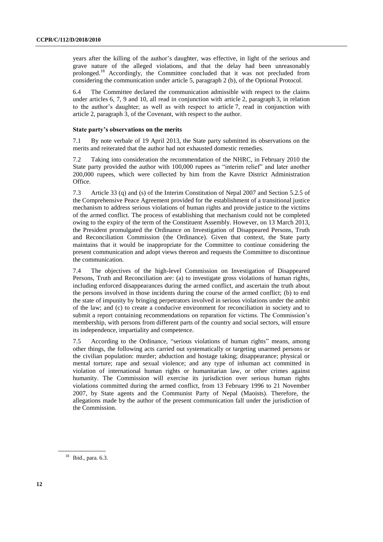years after the killing of the author's daughter, was effective, in light of the serious and grave nature of the alleged violations, and that the delay had been unreasonably prolonged.<sup>18</sup> Accordingly, the Committee concluded that it was not precluded from considering the communication under article 5, paragraph 2 (b), of the Optional Protocol.

6.4 The Committee declared the communication admissible with respect to the claims under articles 6, 7, 9 and 10, all read in conjunction with article 2, paragraph 3, in relation to the author's daughter; as well as with respect to article 7, read in conjunction with article 2, paragraph 3, of the Covenant, with respect to the author.

#### **State party's observations on the merits**

7.1 By note verbale of 19 April 2013, the State party submitted its observations on the merits and reiterated that the author had not exhausted domestic remedies.

7.2 Taking into consideration the recommendation of the NHRC, in February 2010 the State party provided the author with 100,000 rupees as "interim relief" and later another 200,000 rupees, which were collected by him from the Kavre District Administration Office.

7.3 Article 33 (q) and (s) of the Interim Constitution of Nepal 2007 and Section 5.2.5 of the Comprehensive Peace Agreement provided for the establishment of a transitional justice mechanism to address serious violations of human rights and provide justice to the victims of the armed conflict. The process of establishing that mechanism could not be completed owing to the expiry of the term of the Constituent Assembly. However, on 13 March 2013, the President promulgated the Ordinance on Investigation of Disappeared Persons, Truth and Reconciliation Commission (the Ordinance). Given that context, the State party maintains that it would be inappropriate for the Committee to continue considering the present communication and adopt views thereon and requests the Committee to discontinue the communication.

7.4 The objectives of the high-level Commission on Investigation of Disappeared Persons, Truth and Reconciliation are: (a) to investigate gross violations of human rights, including enforced disappearances during the armed conflict, and ascertain the truth about the persons involved in those incidents during the course of the armed conflict; (b) to end the state of impunity by bringing perpetrators involved in serious violations under the ambit of the law; and (c) to create a conducive environment for reconciliation in society and to submit a report containing recommendations on reparation for victims. The Commission's membership, with persons from different parts of the country and social sectors, will ensure its independence, impartiality and competence.

7.5 According to the Ordinance, "serious violations of human rights" means, among other things, the following acts carried out systematically or targeting unarmed persons or the civilian population: murder; abduction and hostage taking; disappearance; physical or mental torture; rape and sexual violence; and any type of inhuman act committed in violation of international human rights or humanitarian law, or other crimes against humanity. The Commission will exercise its jurisdiction over serious human rights violations committed during the armed conflict, from 13 February 1996 to 21 November 2007, by State agents and the Communist Party of Nepal (Maoists). Therefore, the allegations made by the author of the present communication fall under the jurisdiction of the Commission.

<sup>18</sup> Ibid., para. 6.3.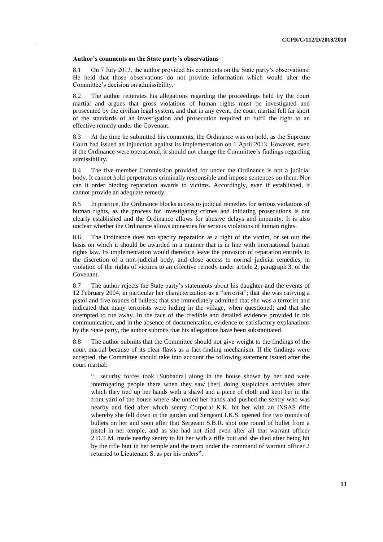#### **Author's comments on the State party's observations**

8.1 On 7 July 2013, the author provided his comments on the State party's observations. He held that those observations do not provide information which would alter the Committee's decision on admissibility.

8.2 The author reiterates his allegations regarding the proceedings held by the court martial and argues that gross violations of human rights must be investigated and prosecuted by the civilian legal system, and that in any event, the court martial fell far short of the standards of an investigation and prosecution required to fulfil the right to an effective remedy under the Covenant.

8.3 At the time he submitted his comments, the Ordinance was on hold, as the Supreme Court had issued an injunction against its implementation on 1 April 2013. However, even if the Ordinance were operational, it should not change the Committee's findings regarding admissibility.

8.4 The five-member Commission provided for under the Ordinance is not a judicial body. It cannot hold perpetrators criminally responsible and impose sentences on them. Nor can it order binding reparation awards to victims. Accordingly, even if established, it cannot provide an adequate remedy.

8.5 In practice, the Ordinance blocks access to judicial remedies for serious violations of human rights, as the process for investigating crimes and initiating prosecutions is not clearly established and the Ordinance allows for abusive delays and impunity. It is also unclear whether the Ordinance allows amnesties for serious violations of human rights.

8.6 The Ordinance does not specify reparation as a right of the victim, or set out the basis on which it should be awarded in a manner that is in line with international human rights law. Its implementation would therefore leave the provision of reparation entirely to the discretion of a non-judicial body, and close access to normal judicial remedies, in violation of the rights of victims to an effective remedy under article 2, paragraph 3, of the Covenant.

8.7 The author rejects the State party's statements about his daughter and the events of 12 February 2004, in particular her characterization as a "terrorist"; that she was carrying a pistol and five rounds of bullets; that she immediately admitted that she was a terrorist and indicated that many terrorists were hiding in the village, when questioned; and that she attempted to run away. In the face of the credible and detailed evidence provided in his communication, and in the absence of documentation, evidence or satisfactory explanations by the State party, the author submits that his allegations have been substantiated.

8.8 The author submits that the Committee should not give weight to the findings of the court martial because of its clear flaws as a fact-finding mechanism. If the findings were accepted, the Committee should take into account the following statement issued after the court martial:

"…security forces took [Subhadra] along in the house shown by her and were interrogating people there when they saw [her] doing suspicious activities after which they tied up her hands with a shawl and a piece of cloth and kept her in the front yard of the house where she untied her hands and pushed the sentry who was nearby and fled after which sentry Corporal K.K. hit her with an INSAS rifle whereby she fell down in the garden and Sergeant I.K.S. opened fire two rounds of bullets on her and soon after that Sergeant S.B.R. shot one round of bullet from a pistol in her temple, and as she had not died even after all that warrant officer 2 D.T.M. made nearby sentry to hit her with a rifle butt and she died after being hit by the rifle butt in her temple and the team under the command of warrant officer 2 returned to Lieutenant S. as per his orders".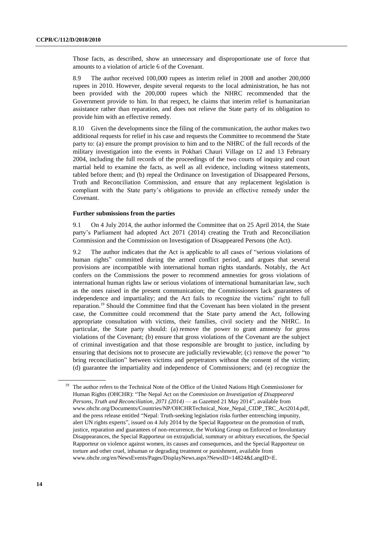Those facts, as described, show an unnecessary and disproportionate use of force that amounts to a violation of article 6 of the Covenant.

8.9 The author received 100,000 rupees as interim relief in 2008 and another 200,000 rupees in 2010. However, despite several requests to the local administration, he has not been provided with the 200,000 rupees which the NHRC recommended that the Government provide to him. In that respect, he claims that interim relief is humanitarian assistance rather than reparation, and does not relieve the State party of its obligation to provide him with an effective remedy.

8.10 Given the developments since the filing of the communication, the author makes two additional requests for relief in his case and requests the Committee to recommend the State party to: (a) ensure the prompt provision to him and to the NHRC of the full records of the military investigation into the events in Pokhari Chauri Village on 12 and 13 February 2004, including the full records of the proceedings of the two courts of inquiry and court martial held to examine the facts, as well as all evidence, including witness statements, tabled before them; and (b) repeal the Ordinance on Investigation of Disappeared Persons, Truth and Reconciliation Commission, and ensure that any replacement legislation is compliant with the State party's obligations to provide an effective remedy under the Covenant.

#### **Further submissions from the parties**

9.1 On 4 July 2014, the author informed the Committee that on 25 April 2014, the State party's Parliament had adopted Act 2071 (2014) creating the Truth and Reconciliation Commission and the Commission on Investigation of Disappeared Persons (the Act).

9.2 The author indicates that the Act is applicable to all cases of "serious violations of human rights" committed during the armed conflict period, and argues that several provisions are incompatible with international human rights standards. Notably, the Act confers on the Commissions the power to recommend amnesties for gross violations of international human rights law or serious violations of international humanitarian law, such as the ones raised in the present communication; the Commissioners lack guarantees of independence and impartiality; and the Act fails to recognize the victims' right to full reparation.<sup>19</sup> Should the Committee find that the Covenant has been violated in the present case, the Committee could recommend that the State party amend the Act, following appropriate consultation with victims, their families, civil society and the NHRC. In particular, the State party should: (a) remove the power to grant amnesty for gross violations of the Covenant; (b) ensure that gross violations of the Covenant are the subject of criminal investigation and that those responsible are brought to justice, including by ensuring that decisions not to prosecute are judicially reviewable; (c) remove the power "to bring reconciliation" between victims and perpetrators without the consent of the victim; (d) guarantee the impartiality and independence of Commissioners; and (e) recognize the

<sup>&</sup>lt;sup>19</sup> The author refers to the Technical Note of the Office of the United Nations High Commissioner for Human Rights (OHCHR): "The Nepal Act on the *Commission on Investigation of Disappeared Persons, Truth and Reconciliation, 2071 (2014)* — as Gazetted 21 May 2014", available from www.ohchr.org/Documents/Countries/NP/OHCHRTechnical\_Note\_Nepal\_CIDP\_TRC\_Act2014.pdf, and the press release entitled "Nepal: Truth-seeking legislation risks further entrenching impunity, alert UN rights experts", issued on 4 July 2014 by the Special Rapporteur on the promotion of truth, justice, reparation and guarantees of non-recurrence, the Working Group on Enforced or Involuntary Disappearances, the Special Rapporteur on extrajudicial, summary or arbitrary executions, the Special Rapporteur on violence against women, its causes and consequences, and the Special Rapporteur on torture and other cruel, inhuman or degrading treatment or punishment, available from www.ohchr.org/en/NewsEvents/Pages/DisplayNews.aspx?NewsID=14824&LangID=E.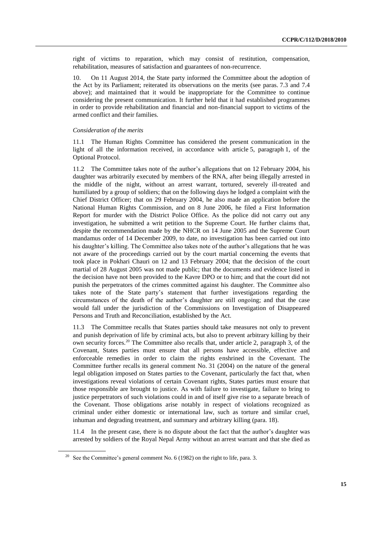right of victims to reparation, which may consist of restitution, compensation, rehabilitation, measures of satisfaction and guarantees of non-recurrence.

10. On 11 August 2014, the State party informed the Committee about the adoption of the Act by its Parliament; reiterated its observations on the merits (see paras. 7.3 and 7.4 above); and maintained that it would be inappropriate for the Committee to continue considering the present communication. It further held that it had established programmes in order to provide rehabilitation and financial and non-financial support to victims of the armed conflict and their families.

#### *Consideration of the merits*

11.1 The Human Rights Committee has considered the present communication in the light of all the information received, in accordance with article 5, paragraph 1, of the Optional Protocol.

11.2 The Committee takes note of the author's allegations that on 12 February 2004, his daughter was arbitrarily executed by members of the RNA, after being illegally arrested in the middle of the night, without an arrest warrant, tortured, severely ill-treated and humiliated by a group of soldiers; that on the following days he lodged a complaint with the Chief District Officer; that on 29 February 2004, he also made an application before the National Human Rights Commission, and on 8 June 2006, he filed a First Information Report for murder with the District Police Office. As the police did not carry out any investigation, he submitted a writ petition to the Supreme Court. He further claims that, despite the recommendation made by the NHCR on 14 June 2005 and the Supreme Court mandamus order of 14 December 2009, to date, no investigation has been carried out into his daughter's killing. The Committee also takes note of the author's allegations that he was not aware of the proceedings carried out by the court martial concerning the events that took place in Pokhari Chauri on 12 and 13 February 2004; that the decision of the court martial of 28 August 2005 was not made public; that the documents and evidence listed in the decision have not been provided to the Kavre DPO or to him; and that the court did not punish the perpetrators of the crimes committed against his daughter. The Committee also takes note of the State party's statement that further investigations regarding the circumstances of the death of the author's daughter are still ongoing; and that the case would fall under the jurisdiction of the Commissions on Investigation of Disappeared Persons and Truth and Reconciliation, established by the Act.

11.3 The Committee recalls that States parties should take measures not only to prevent and punish deprivation of life by criminal acts, but also to prevent arbitrary killing by their own security forces.<sup>20</sup> The Committee also recalls that, under article 2, paragraph 3, of the Covenant, States parties must ensure that all persons have accessible, effective and enforceable remedies in order to claim the rights enshrined in the Covenant. The Committee further recalls its general comment No. 31 (2004) on the nature of the general legal obligation imposed on States parties to the Covenant, particularly the fact that, when investigations reveal violations of certain Covenant rights, States parties must ensure that those responsible are brought to justice. As with failure to investigate, failure to bring to justice perpetrators of such violations could in and of itself give rise to a separate breach of the Covenant. Those obligations arise notably in respect of violations recognized as criminal under either domestic or international law, such as torture and similar cruel, inhuman and degrading treatment, and summary and arbitrary killing (para. 18).

11.4 In the present case, there is no dispute about the fact that the author's daughter was arrested by soldiers of the Royal Nepal Army without an arrest warrant and that she died as

<sup>&</sup>lt;sup>20</sup> See the Committee's general comment No. 6 (1982) on the right to life, para. 3.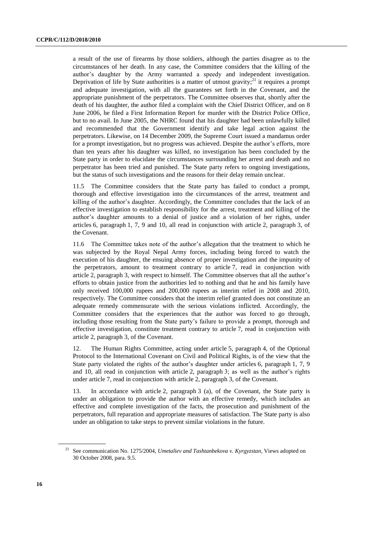a result of the use of firearms by those soldiers, although the parties disagree as to the circumstances of her death. In any case, the Committee considers that the killing of the author's daughter by the Army warranted a speedy and independent investigation. Deprivation of life by State authorities is a matter of utmost gravity; $^{21}$  it requires a prompt and adequate investigation, with all the guarantees set forth in the Covenant, and the appropriate punishment of the perpetrators. The Committee observes that, shortly after the death of his daughter, the author filed a complaint with the Chief District Officer, and on 8 June 2006, he filed a First Information Report for murder with the District Police Office, but to no avail. In June 2005, the NHRC found that his daughter had been unlawfully killed and recommended that the Government identify and take legal action against the perpetrators. Likewise, on 14 December 2009, the Supreme Court issued a mandamus order for a prompt investigation, but no progress was achieved. Despite the author's efforts, more than ten years after his daughter was killed, no investigation has been concluded by the State party in order to elucidate the circumstances surrounding her arrest and death and no perpetrator has been tried and punished. The State party refers to ongoing investigations, but the status of such investigations and the reasons for their delay remain unclear.

11.5 The Committee considers that the State party has failed to conduct a prompt, thorough and effective investigation into the circumstances of the arrest, treatment and killing of the author's daughter. Accordingly, the Committee concludes that the lack of an effective investigation to establish responsibility for the arrest, treatment and killing of the author's daughter amounts to a denial of justice and a violation of her rights, under articles 6, paragraph 1, 7, 9 and 10, all read in conjunction with article 2, paragraph 3, of the Covenant.

11.6 The Committee takes note of the author's allegation that the treatment to which he was subjected by the Royal Nepal Army forces, including being forced to watch the execution of his daughter, the ensuing absence of proper investigation and the impunity of the perpetrators, amount to treatment contrary to article 7, read in conjunction with article 2, paragraph 3, with respect to himself. The Committee observes that all the author's efforts to obtain justice from the authorities led to nothing and that he and his family have only received 100,000 rupees and 200,000 rupees as interim relief in 2008 and 2010, respectively. The Committee considers that the interim relief granted does not constitute an adequate remedy commensurate with the serious violations inflicted. Accordingly, the Committee considers that the experiences that the author was forced to go through, including those resulting from the State party's failure to provide a prompt, thorough and effective investigation, constitute treatment contrary to article 7, read in conjunction with article 2, paragraph 3, of the Covenant.

12. The Human Rights Committee, acting under article 5, paragraph 4, of the Optional Protocol to the International Covenant on Civil and Political Rights, is of the view that the State party violated the rights of the author's daughter under articles 6, paragraph 1, 7, 9 and 10, all read in conjunction with article 2, paragraph 3; as well as the author's rights under article 7, read in conjunction with article 2, paragraph 3, of the Covenant.

13. In accordance with article 2, paragraph 3 (a), of the Covenant, the State party is under an obligation to provide the author with an effective remedy, which includes an effective and complete investigation of the facts, the prosecution and punishment of the perpetrators, full reparation and appropriate measures of satisfaction. The State party is also under an obligation to take steps to prevent similar violations in the future.

<sup>21</sup> See communication No. 1275/2004, *Umetaliev and Tashtanbekova v. Kyrgyzstan*, Views adopted on 30 October 2008, para. 9.5.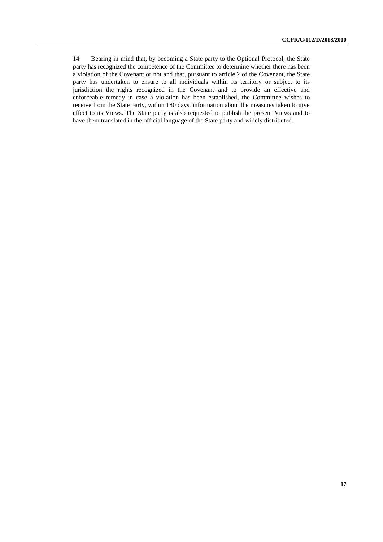14. Bearing in mind that, by becoming a State party to the Optional Protocol, the State party has recognized the competence of the Committee to determine whether there has been a violation of the Covenant or not and that, pursuant to article 2 of the Covenant, the State party has undertaken to ensure to all individuals within its territory or subject to its jurisdiction the rights recognized in the Covenant and to provide an effective and enforceable remedy in case a violation has been established, the Committee wishes to receive from the State party, within 180 days, information about the measures taken to give effect to its Views. The State party is also requested to publish the present Views and to have them translated in the official language of the State party and widely distributed.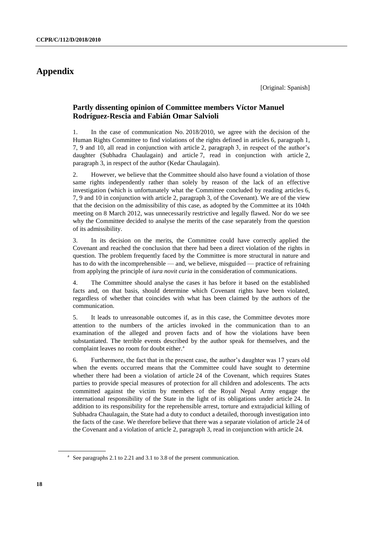## **Appendix**

## **Partly dissenting opinion of Committee members Víctor Manuel Rodríguez-Rescia and Fabián Omar Salvioli**

1. In the case of communication No. 2018/2010, we agree with the decision of the Human Rights Committee to find violations of the rights defined in articles 6, paragraph 1, 7, 9 and 10, all read in conjunction with article 2, paragraph 3, in respect of the author's daughter (Subhadra Chaulagain) and article 7, read in conjunction with article 2, paragraph 3, in respect of the author (Kedar Chaulagain).

2. However, we believe that the Committee should also have found a violation of those same rights independently rather than solely by reason of the lack of an effective investigation (which is unfortunately what the Committee concluded by reading articles 6, 7, 9 and 10 in conjunction with article 2, paragraph 3, of the Covenant). We are of the view that the decision on the admissibility of this case, as adopted by the Committee at its 104th meeting on 8 March 2012, was unnecessarily restrictive and legally flawed. Nor do we see why the Committee decided to analyse the merits of the case separately from the question of its admissibility.

3. In its decision on the merits, the Committee could have correctly applied the Covenant and reached the conclusion that there had been a direct violation of the rights in question. The problem frequently faced by the Committee is more structural in nature and has to do with the incomprehensible — and, we believe, misguided — practice of refraining from applying the principle of *iura novit curia* in the consideration of communications.

4. The Committee should analyse the cases it has before it based on the established facts and, on that basis, should determine which Covenant rights have been violated, regardless of whether that coincides with what has been claimed by the authors of the communication.

5. It leads to unreasonable outcomes if, as in this case, the Committee devotes more attention to the numbers of the articles invoked in the communication than to an examination of the alleged and proven facts and of how the violations have been substantiated. The terrible events described by the author speak for themselves, and the complaint leaves no room for doubt either.<sup>a</sup>

6. Furthermore, the fact that in the present case, the author's daughter was 17 years old when the events occurred means that the Committee could have sought to determine whether there had been a violation of article 24 of the Covenant, which requires States parties to provide special measures of protection for all children and adolescents. The acts committed against the victim by members of the Royal Nepal Army engage the international responsibility of the State in the light of its obligations under article 24. In addition to its responsibility for the reprehensible arrest, torture and extrajudicial killing of Subhadra Chaulagain, the State had a duty to conduct a detailed, thorough investigation into the facts of the case. We therefore believe that there was a separate violation of article 24 of the Covenant and a violation of article 2, paragraph 3, read in conjunction with article 24.

<sup>&</sup>lt;sup>a</sup> See paragraphs 2.1 to 2.21 and 3.1 to 3.8 of the present communication.